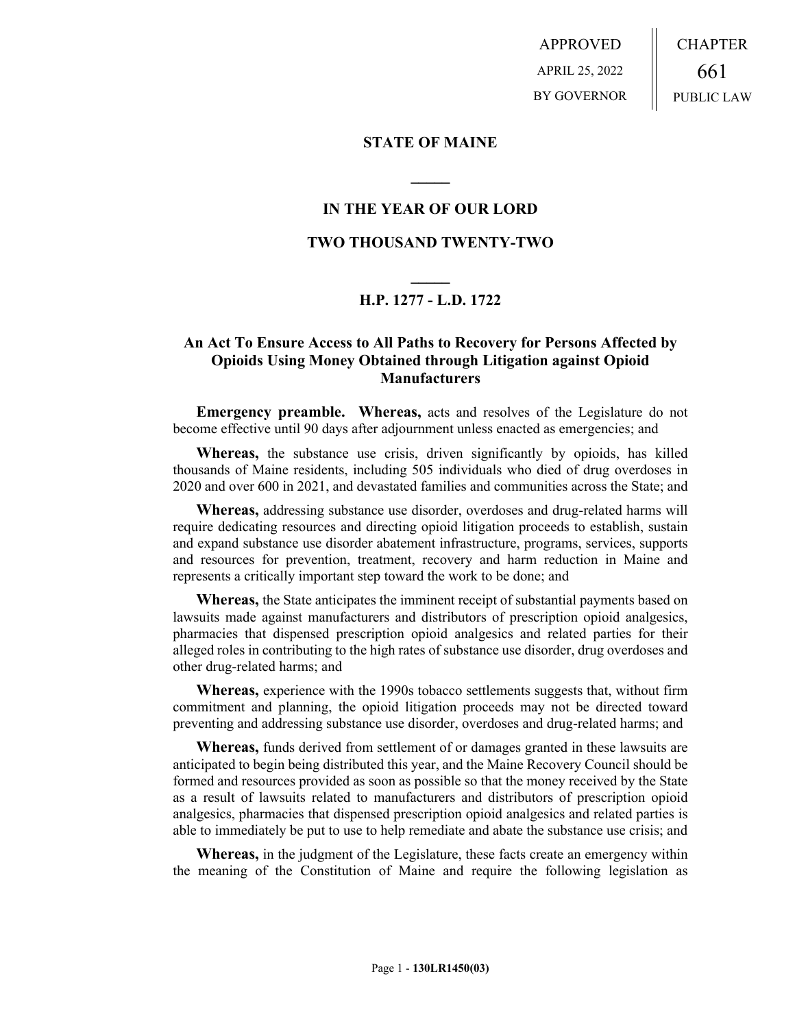APPROVED APRIL 25, 2022 BY GOVERNOR CHAPTER 661 PUBLIC LAW

## **STATE OF MAINE**

## **IN THE YEAR OF OUR LORD**

**\_\_\_\_\_**

## **TWO THOUSAND TWENTY-TWO**

# **\_\_\_\_\_ H.P. 1277 - L.D. 1722**

# **An Act To Ensure Access to All Paths to Recovery for Persons Affected by Opioids Using Money Obtained through Litigation against Opioid Manufacturers**

**Emergency preamble. Whereas,** acts and resolves of the Legislature do not become effective until 90 days after adjournment unless enacted as emergencies; and

**Whereas,** the substance use crisis, driven significantly by opioids, has killed thousands of Maine residents, including 505 individuals who died of drug overdoses in 2020 and over 600 in 2021, and devastated families and communities across the State; and

**Whereas,** addressing substance use disorder, overdoses and drug-related harms will require dedicating resources and directing opioid litigation proceeds to establish, sustain and expand substance use disorder abatement infrastructure, programs, services, supports and resources for prevention, treatment, recovery and harm reduction in Maine and represents a critically important step toward the work to be done; and

**Whereas,** the State anticipates the imminent receipt of substantial payments based on lawsuits made against manufacturers and distributors of prescription opioid analgesics, pharmacies that dispensed prescription opioid analgesics and related parties for their alleged roles in contributing to the high rates of substance use disorder, drug overdoses and other drug-related harms; and

**Whereas,** experience with the 1990s tobacco settlements suggests that, without firm commitment and planning, the opioid litigation proceeds may not be directed toward preventing and addressing substance use disorder, overdoses and drug-related harms; and

**Whereas,** funds derived from settlement of or damages granted in these lawsuits are anticipated to begin being distributed this year, and the Maine Recovery Council should be formed and resources provided as soon as possible so that the money received by the State as a result of lawsuits related to manufacturers and distributors of prescription opioid analgesics, pharmacies that dispensed prescription opioid analgesics and related parties is able to immediately be put to use to help remediate and abate the substance use crisis; and

**Whereas,** in the judgment of the Legislature, these facts create an emergency within the meaning of the Constitution of Maine and require the following legislation as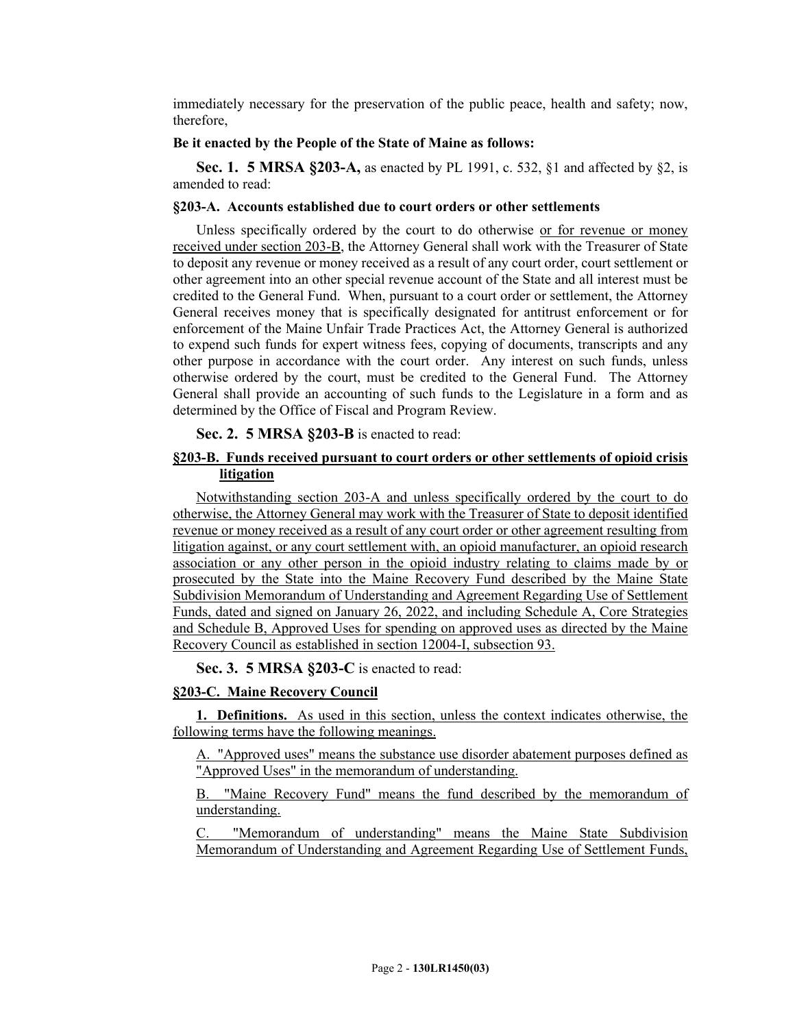immediately necessary for the preservation of the public peace, health and safety; now, therefore,

#### **Be it enacted by the People of the State of Maine as follows:**

**Sec. 1. 5 MRSA §203-A,** as enacted by PL 1991, c. 532, §1 and affected by §2, is amended to read:

# **§203-A. Accounts established due to court orders or other settlements**

Unless specifically ordered by the court to do otherwise or for revenue or money received under section 203-B, the Attorney General shall work with the Treasurer of State to deposit any revenue or money received as a result of any court order, court settlement or other agreement into an other special revenue account of the State and all interest must be credited to the General Fund. When, pursuant to a court order or settlement, the Attorney General receives money that is specifically designated for antitrust enforcement or for enforcement of the Maine Unfair Trade Practices Act, the Attorney General is authorized to expend such funds for expert witness fees, copying of documents, transcripts and any other purpose in accordance with the court order. Any interest on such funds, unless otherwise ordered by the court, must be credited to the General Fund. The Attorney General shall provide an accounting of such funds to the Legislature in a form and as determined by the Office of Fiscal and Program Review.

#### **Sec. 2. 5 MRSA §203-B** is enacted to read:

## **§203-B. Funds received pursuant to court orders or other settlements of opioid crisis litigation**

Notwithstanding section 203-A and unless specifically ordered by the court to do otherwise, the Attorney General may work with the Treasurer of State to deposit identified revenue or money received as a result of any court order or other agreement resulting from litigation against, or any court settlement with, an opioid manufacturer, an opioid research association or any other person in the opioid industry relating to claims made by or prosecuted by the State into the Maine Recovery Fund described by the Maine State Subdivision Memorandum of Understanding and Agreement Regarding Use of Settlement Funds, dated and signed on January 26, 2022, and including Schedule A, Core Strategies and Schedule B, Approved Uses for spending on approved uses as directed by the Maine Recovery Council as established in section 12004-I, subsection 93.

#### **Sec. 3. 5 MRSA §203-C** is enacted to read:

#### **§203-C. Maine Recovery Council**

**1. Definitions.** As used in this section, unless the context indicates otherwise, the following terms have the following meanings.

A. "Approved uses" means the substance use disorder abatement purposes defined as "Approved Uses" in the memorandum of understanding.

B. "Maine Recovery Fund" means the fund described by the memorandum of understanding.

"Memorandum of understanding" means the Maine State Subdivision Memorandum of Understanding and Agreement Regarding Use of Settlement Funds,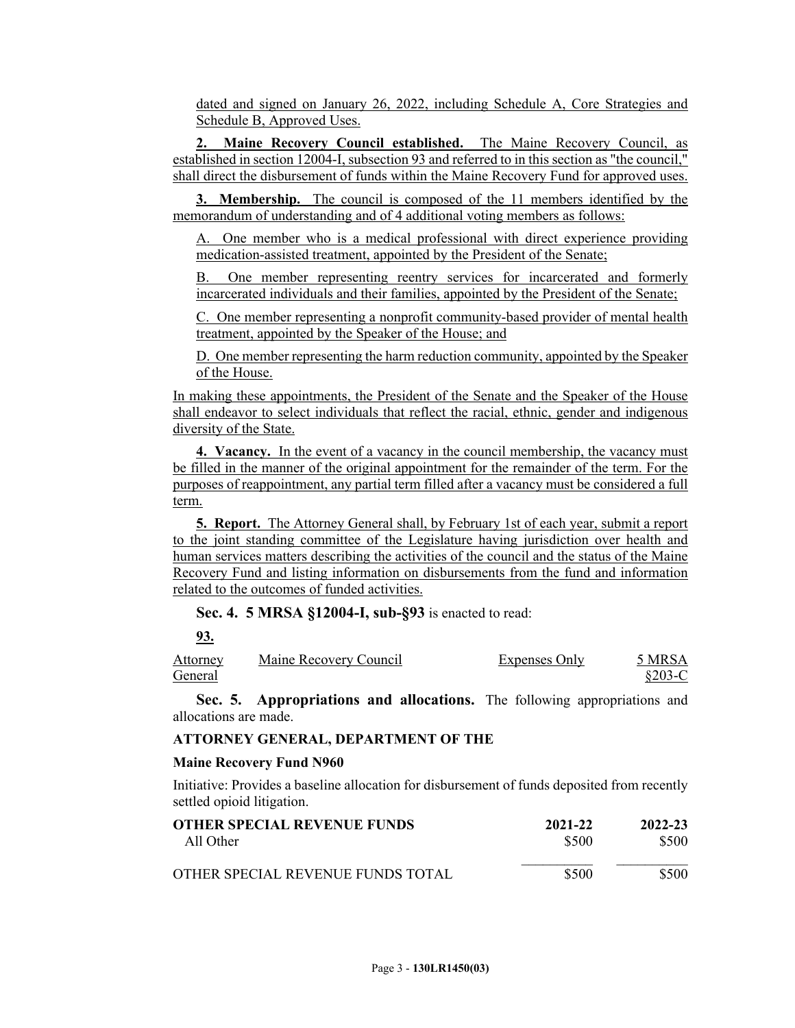dated and signed on January 26, 2022, including Schedule A, Core Strategies and Schedule B, Approved Uses.

**2. Maine Recovery Council established.** The Maine Recovery Council, as established in section 12004-I, subsection 93 and referred to in this section as "the council," shall direct the disbursement of funds within the Maine Recovery Fund for approved uses.

**3. Membership.** The council is composed of the 11 members identified by the memorandum of understanding and of 4 additional voting members as follows:

One member who is a medical professional with direct experience providing medication-assisted treatment, appointed by the President of the Senate;

B. One member representing reentry services for incarcerated and formerly incarcerated individuals and their families, appointed by the President of the Senate;

C. One member representing a nonprofit community-based provider of mental health treatment, appointed by the Speaker of the House; and

D. One member representing the harm reduction community, appointed by the Speaker of the House.

In making these appointments, the President of the Senate and the Speaker of the House shall endeavor to select individuals that reflect the racial, ethnic, gender and indigenous diversity of the State.

**4. Vacancy.** In the event of a vacancy in the council membership, the vacancy must be filled in the manner of the original appointment for the remainder of the term. For the purposes of reappointment, any partial term filled after a vacancy must be considered a full term.

**5. Report.** The Attorney General shall, by February 1st of each year, submit a report to the joint standing committee of the Legislature having jurisdiction over health and human services matters describing the activities of the council and the status of the Maine Recovery Fund and listing information on disbursements from the fund and information related to the outcomes of funded activities.

#### **Sec. 4. 5 MRSA §12004-I, sub-§93** is enacted to read:

**93.** 

Attorney General Maine Recovery Council Expenses Only 5 MRSA §203-C

**Sec. 5. Appropriations and allocations.** The following appropriations and allocations are made.

#### **ATTORNEY GENERAL, DEPARTMENT OF THE**

#### **Maine Recovery Fund N960**

Initiative: Provides a baseline allocation for disbursement of funds deposited from recently settled opioid litigation.

| OTHER SPECIAL REVENUE FUNDS       | 2021-22 | 2022-23 |
|-----------------------------------|---------|---------|
| All Other                         | \$500   | \$500   |
| OTHER SPECIAL REVENUE FUNDS TOTAL | \$500   | \$500   |